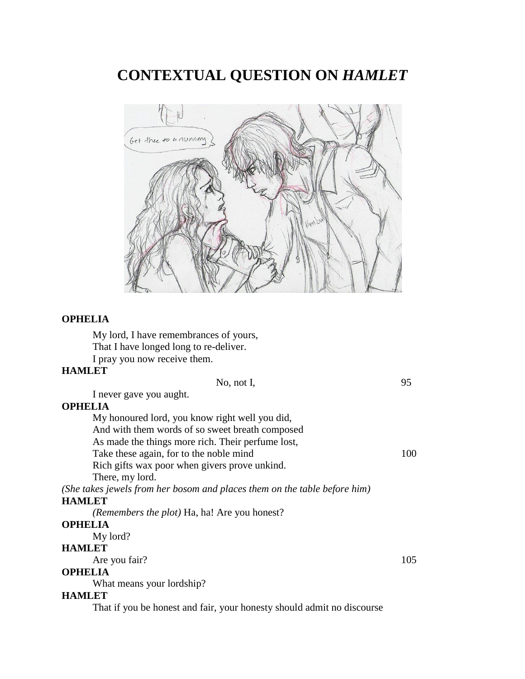**CONTEXTUAL QUESTION ON** *HAMLET*



#### **OPHELIA**

My lord, I have remembrances of yours, That I have longed long to re-deliver. I pray you now receive them.

#### **HAMLET**

No, not I, 95 I never gave you aught. **OPHELIA** My honoured lord, you know right well you did,

And with them words of so sweet breath composed

As made the things more rich. Their perfume lost,

Take these again, for to the noble mind 100

Rich gifts wax poor when givers prove unkind.

There, my lord.

*(She takes jewels from her bosom and places them on the table before him)* **HAMLET**

*(Remembers the plot)* Ha, ha! Are you honest?

#### **OPHELIA**

My lord?

### **HAMLET**

Are you fair? 105

# **OPHELIA**

What means your lordship?

#### **HAMLET**

That if you be honest and fair, your honesty should admit no discourse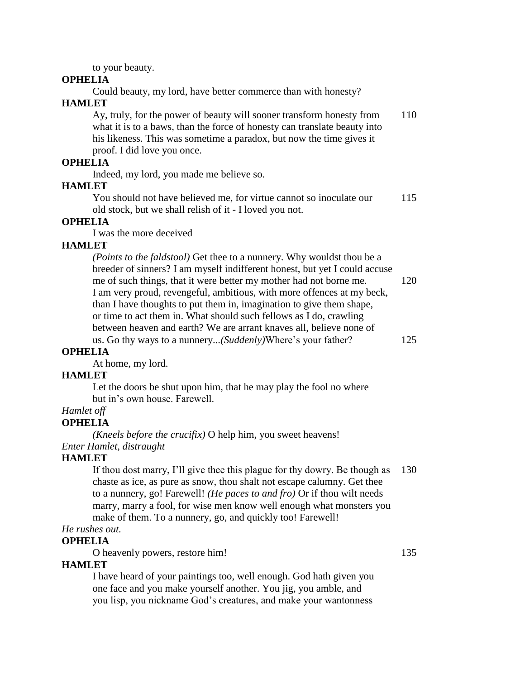to your beauty.

#### **OPHELIA**

Could beauty, my lord, have better commerce than with honesty?

# **HAMLET**

| Ay, truly, for the power of beauty will sooner transform honesty from     | 110 |
|---------------------------------------------------------------------------|-----|
| what it is to a baws, than the force of honesty can translate beauty into |     |
| his likeness. This was sometime a paradox, but now the time gives it      |     |
| proof. I did love you once.                                               |     |
| DT TA                                                                     |     |

**OPHELIA**

Indeed, my lord, you made me believe so.

# **HAMLET**

You should not have believed me, for virtue cannot so inoculate our 115 old stock, but we shall relish of it - I loved you not.

# **OPHELIA**

I was the more deceived

# **HAMLET**

*(Points to the faldstool)* Get thee to a nunnery. Why wouldst thou be a breeder of sinners? I am myself indifferent honest, but yet I could accuse me of such things, that it were better my mother had not borne me. 120 I am very proud, revengeful, ambitious, with more offences at my beck, than I have thoughts to put them in, imagination to give them shape, or time to act them in. What should such fellows as I do, crawling between heaven and earth? We are arrant knaves all, believe none of us. Go thy ways to a nunnery...*(Suddenly)*Where's your father? 125

# **OPHELIA**

At home, my lord.

# **HAMLET**

Let the doors be shut upon him, that he may play the fool no where but in's own house. Farewell.

# *Hamlet off*

# **OPHELIA**

*(Kneels before the crucifix)* O help him, you sweet heavens! *Enter Hamlet, distraught*

# **HAMLET**

If thou dost marry, I'll give thee this plague for thy dowry. Be though as 130 chaste as ice, as pure as snow, thou shalt not escape calumny. Get thee to a nunnery, go! Farewell! *(He paces to and fro)* Or if thou wilt needs marry, marry a fool, for wise men know well enough what monsters you make of them. To a nunnery, go, and quickly too! Farewell!

# *He rushes out.*

# **OPHELIA**

O heavenly powers, restore him! 135

# **HAMLET**

I have heard of your paintings too, well enough. God hath given you one face and you make yourself another. You jig, you amble, and you lisp, you nickname God's creatures, and make your wantonness